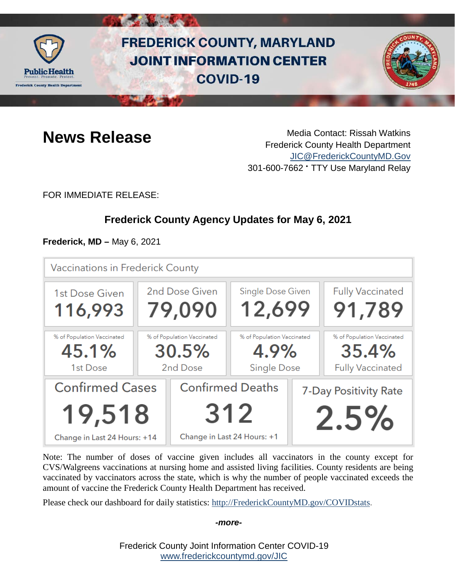

# **FREDERICK COUNTY, MARYLAND JOINT INFORMATION CENTER COVID-19**



**News Release** Media Contact: Rissah Watkins Frederick County Health Department [JIC@FrederickCountyMD.Gov](mailto:JIC@FrederickCountyMD.Gov) 301-600-7662 • TTY Use Maryland Relay

FOR IMMEDIATE RELEASE:

# **Frederick County Agency Updates for May 6, 2021**

**Frederick, MD –** May 6, 2021

| Vaccinations in Frederick County                                 |  |                                                               |                                                          |  |                                                                |  |  |
|------------------------------------------------------------------|--|---------------------------------------------------------------|----------------------------------------------------------|--|----------------------------------------------------------------|--|--|
| 1st Dose Given<br>116,993                                        |  | 2nd Dose Given<br>79,090                                      | Single Dose Given<br>12,699                              |  | <b>Fully Vaccinated</b><br>91,789                              |  |  |
| % of Population Vaccinated<br>45.1%<br>1st Dose                  |  | % of Population Vaccinated<br>30.5%<br>2nd Dose               | % of Population Vaccinated<br>4.9%<br><b>Single Dose</b> |  | % of Population Vaccinated<br>35.4%<br><b>Fully Vaccinated</b> |  |  |
| <b>Confirmed Cases</b><br>19,518<br>Change in Last 24 Hours: +14 |  | <b>Confirmed Deaths</b><br>312<br>Change in Last 24 Hours: +1 |                                                          |  | 7-Day Positivity Rate<br>2.5%                                  |  |  |

Note: The number of doses of vaccine given includes all vaccinators in the county except for CVS/Walgreens vaccinations at nursing home and assisted living facilities. County residents are being vaccinated by vaccinators across the state, which is why the number of people vaccinated exceeds the amount of vaccine the Frederick County Health Department has received.

Please check our dashboard for daily statistics: [http://FrederickCountyMD.gov/COVIDstats.](http://frederickcountymd.gov/COVIDstats)

#### *-more-*

Frederick County Joint Information Center COVID-19 [www.frederickcountymd.gov/JIC](https://frederickcountymd.gov/JIC)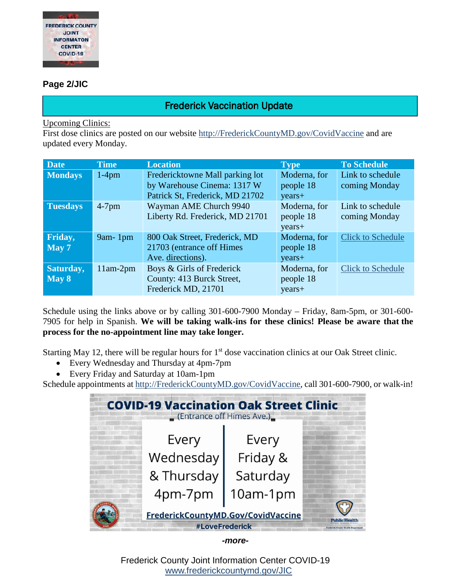

### **Page 2/JIC**

# Frederick Vaccination Update

Upcoming Clinics:

First dose clinics are posted on our website [http://FrederickCountyMD.gov/CovidVaccine](http://frederickcountymd.gov/CovidVaccine) and are updated every Monday.

| <b>Date</b>     | <b>Time</b> | <b>Location</b>                 | <b>Type</b>  | <b>To Schedule</b>       |
|-----------------|-------------|---------------------------------|--------------|--------------------------|
| Mondays         | $1-4$ pm    | Fredericktowne Mall parking lot | Moderna, for | Link to schedule         |
|                 |             | by Warehouse Cinema: 1317 W     | people 18    | coming Monday            |
|                 |             | Patrick St, Frederick, MD 21702 | years+       |                          |
| <b>Tuesdays</b> | $4-7$ pm    | Wayman AME Church 9940          | Moderna, for | Link to schedule         |
|                 |             | Liberty Rd. Frederick, MD 21701 | people 18    | coming Monday            |
|                 |             |                                 | years+       |                          |
| Friday,         | $9am-1pm$   | 800 Oak Street, Frederick, MD   | Moderna, for | <b>Click to Schedule</b> |
| May 7           |             | 21703 (entrance off Himes)      | people 18    |                          |
|                 |             | Ave. directions).               | years+       |                          |
| Saturday,       | $11am-2pm$  | Boys & Girls of Frederick       | Moderna, for | <b>Click to Schedule</b> |
| May 8           |             | County: 413 Burck Street,       | people 18    |                          |
|                 |             | Frederick MD, 21701             | years+       |                          |

Schedule using the links above or by calling 301-600-7900 Monday – Friday, 8am-5pm, or 301-600- 7905 for help in Spanish. **We will be taking walk-ins for these clinics! Please be aware that the process for the no-appointment line may take longer.**

Starting May 12, there will be regular hours for  $1<sup>st</sup>$  dose vaccination clinics at our Oak Street clinic.

- Every Wednesday and Thursday at 4pm-7pm
- Every Friday and Saturday at 10am-1pm

Schedule appointments at [http://FrederickCountyMD.gov/CovidVaccine,](http://frederickcountymd.gov/CovidVaccine) call 301-600-7900, or walk-in!

| (Entrance off Himes Ave.)                            | <b>COVID-19 Vaccination Oak Street Clinic</b>              |  |
|------------------------------------------------------|------------------------------------------------------------|--|
| Every                                                | Every                                                      |  |
| Wednesday                                            | Friday &                                                   |  |
| & Thursday                                           | Saturday                                                   |  |
| 4pm-7pm                                              | 10am-1pm                                                   |  |
| FrederickCountyMD.Gov/CovidVaccine<br>#LoveFrederick | <b>Public Health</b><br>Frederick County Health Department |  |

*-more-*

Frederick County Joint Information Center COVID-19 [www.frederickcountymd.gov/JIC](https://frederickcountymd.gov/JIC)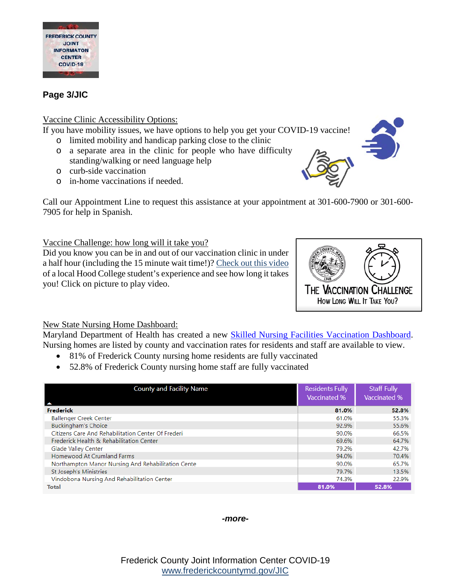

# **Page 3/JIC**

#### Vaccine Clinic Accessibility Options:

If you have mobility issues, we have options to help you get your COVID-19 vaccine!

- o limited mobility and handicap parking close to the clinic
- o a separate area in the clinic for people who have difficulty standing/walking or need language help
- o curb-side vaccination
- o in-home vaccinations if needed.

Call our Appointment Line to request this assistance at your appointment at 301-600-7900 or 301-600- 7905 for help in Spanish.

#### Vaccine Challenge: how long will it take you?

Did you know you can be in and out of our vaccination clinic in under a half hour (including the 15 minute wait time!)? [Check out this video](https://youtu.be/uoxoDN464HA) of a local Hood College student's experience and see how long it takes you! Click on picture to play video.



## New State Nursing Home Dashboard:

Maryland Department of Health has created a new [Skilled Nursing Facilities Vaccination Dashboard.](https://aging.maryland.gov/Pages/SNFVD.aspx) Nursing homes are listed by county and vaccination rates for residents and staff are available to view.

- 81% of Frederick County nursing home residents are fully vaccinated
- 52.8% of Frederick County nursing home staff are fully vaccinated

| <b>County and Facility Name</b>                    | <b>Residents Fully</b><br><b>Vaccinated %</b> | <b>Staff Fully</b><br>Vaccinated % |
|----------------------------------------------------|-----------------------------------------------|------------------------------------|
| <b>Frederick</b>                                   | 81.0%                                         | 52.8%                              |
| <b>Ballenger Creek Center</b>                      | 61.0%                                         | 55.3%                              |
| <b>Buckingham's Choice</b>                         | 92.9%                                         | 55.6%                              |
| Citizens Care And Rehabilitation Center Of Frederi | 90.0%                                         | 66.5%                              |
| Frederick Health & Rehabilitation Center           | 69.6%                                         | 64.7%                              |
| Glade Valley Center                                | 79.2%                                         | 42.7%                              |
| Homewood At Crumland Farms                         | 94.0%                                         | 70.4%                              |
| Northampton Manor Nursing And Rehabilitation Cente | 90.0%                                         | 65.7%                              |
| St Joseph's Ministries                             | 79.7%                                         | 13.5%                              |
| Vindobona Nursing And Rehabilitation Center        | 74.3%                                         | 22.9%                              |
| <b>Total</b>                                       | 81.0%                                         | 52.8%                              |

*-more-*